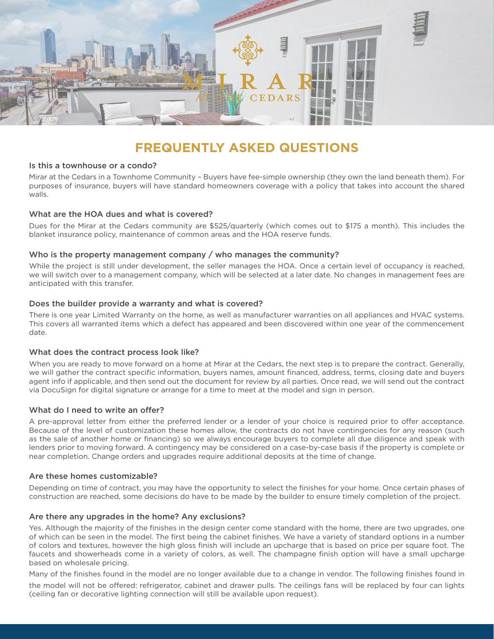

# **FREQUENTLY ASKED QUESTIONS**

## Is this a townhouse or a condo?

Mirar at the Cedars in a Townhome Community – Buyers have fee-simple ownership (they own the land beneath them). For purposes of insurance, buyers will have standard homeowners coverage with a policy that takes into account the shared walls.

## What are the HOA dues and what is covered?

Dues for the Mirar at the Cedars community are \$525/quarterly (which comes out to \$175 a month). This includes the blanket insurance policy, maintenance of common areas and the HOA reserve funds.

### Who is the property management company / who manages the community?

While the project is still under development, the seller manages the HOA. Once a certain level of occupancy is reached, we will switch over to a management company, which will be selected at a later date. No changes in management fees are anticipated with this transfer.

### Does the builder provide a warranty and what is covered?

There is one year Limited Warranty on the home, as well as manufacturer warranties on all appliances and HVAC systems. This covers all warranted items which a defect has appeared and been discovered within one year of the commencement date.

# What does the contract process look like?

When you are ready to move forward on a home at Mirar at the Cedars, the next step is to prepare the contract. Generally, we will gather the contract specific information, buyers names, amount financed, address, terms, closing date and buyers agent info if applicable, and then send out the document for review by all parties. Once read, we will send out the contract via DocuSign for digital signature or arrange for a time to meet at the model and sign in person.

# What do I need to write an offer?

A pre-approval letter from either the preferred lender or a lender of your choice is required prior to offer acceptance. Because of the level of customization these homes allow, the contracts do not have contingencies for any reason (such as the sale of another home or financing) so we always encourage buyers to complete all due diligence and speak with lenders prior to moving forward. A contingency may be considered on a case-by-case basis if the property is complete or near completion. Change orders and upgrades require additional deposits at the time of change.

#### Are these homes customizable?

Depending on time of contract, you may have the opportunity to select the finishes for your home. Once certain phases of construction are reached, some decisions do have to be made by the builder to ensure timely completion of the project.

# Are there any upgrades in the home? Any exclusions?

Yes. Although the majority of the finishes in the design center come standard with the home, there are two upgrades, one of which can be seen in the model. The first being the cabinet finishes. We have a variety of standard options in a number of colors and textures, however the high gloss finish will include an upcharge that is based on price per square foot. The faucets and showerheads come in a variety of colors, as well. The champagne finish option will have a small upcharge based on wholesale pricing.

Many of the finishes found in the model are no longer available due to a change in vendor. The following finishes found in

the model will not be offered: refrigerator, cabinet and drawer pulls. The ceilings fans will be replaced by four can lights (ceiling fan or decorative lighting connection will still be available upon request).